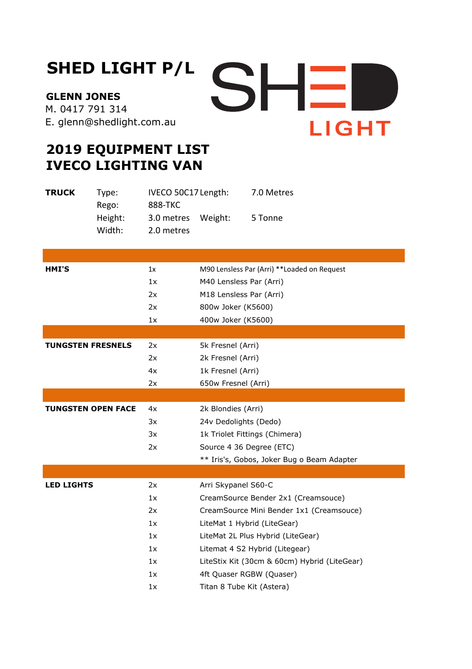## **SHED LIGHT P/L**

**GLENN JONES**  M. 0417 791 314 E. glenn@shedlight.com.au



## **2019 EQUIPMENT LIST IVECO LIGHTING VAN**

| <b>TRUCK</b>              | Type:<br>Rego:    | IVECO 50C17 Length:<br><b>888-TKC</b> |                                              | 7.0 Metres                                   |
|---------------------------|-------------------|---------------------------------------|----------------------------------------------|----------------------------------------------|
|                           | Height:<br>Width: | 3.0 metres<br>2.0 metres              | Weight:                                      | 5 Tonne                                      |
|                           |                   |                                       |                                              |                                              |
|                           |                   |                                       |                                              |                                              |
| <b>HMI'S</b>              |                   | 1x                                    | M90 Lensless Par (Arri) ** Loaded on Request |                                              |
|                           |                   | 1x                                    | M40 Lensless Par (Arri)                      |                                              |
|                           |                   | 2x                                    | M18 Lensless Par (Arri)                      |                                              |
|                           |                   | 2x                                    | 800w Joker (K5600)                           |                                              |
|                           |                   | 1x                                    | 400w Joker (K5600)                           |                                              |
|                           |                   |                                       |                                              |                                              |
| <b>TUNGSTEN FRESNELS</b>  |                   | 2x                                    | 5k Fresnel (Arri)                            |                                              |
|                           |                   | 2x                                    | 2k Fresnel (Arri)                            |                                              |
|                           |                   | 4x                                    | 1k Fresnel (Arri)                            |                                              |
|                           |                   | 2x                                    | 650w Fresnel (Arri)                          |                                              |
|                           |                   |                                       |                                              |                                              |
| <b>TUNGSTEN OPEN FACE</b> |                   | 4x                                    | 2k Blondies (Arri)                           |                                              |
|                           |                   | 3x                                    | 24v Dedolights (Dedo)                        |                                              |
|                           |                   | 3x                                    |                                              | 1k Triolet Fittings (Chimera)                |
|                           |                   | 2x                                    | Source 4 36 Degree (ETC)                     |                                              |
|                           |                   |                                       |                                              | ** Iris's, Gobos, Joker Bug o Beam Adapter   |
|                           |                   |                                       |                                              |                                              |
| <b>LED LIGHTS</b>         |                   | 2x                                    | Arri Skypanel S60-C                          |                                              |
|                           |                   | 1x                                    |                                              | CreamSource Bender 2x1 (Creamsouce)          |
|                           |                   | 2x                                    |                                              | CreamSource Mini Bender 1x1 (Creamsouce)     |
|                           |                   | 1x                                    |                                              | LiteMat 1 Hybrid (LiteGear)                  |
|                           |                   | 1x                                    |                                              | LiteMat 2L Plus Hybrid (LiteGear)            |
|                           |                   | 1x                                    |                                              | Litemat 4 S2 Hybrid (Litegear)               |
|                           |                   | 1x                                    |                                              | LiteStix Kit (30cm & 60cm) Hybrid (LiteGear) |
|                           |                   | 1x                                    |                                              | 4ft Quaser RGBW (Quaser)                     |
|                           |                   | 1x                                    | Titan 8 Tube Kit (Astera)                    |                                              |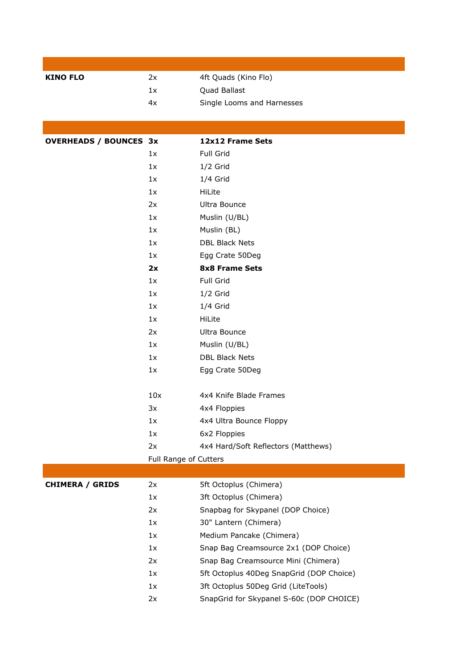| <b>KINO FLO</b>               | 2x                    | 4ft Quads (Kino Flo)                     |  |
|-------------------------------|-----------------------|------------------------------------------|--|
|                               | 1x                    | Quad Ballast                             |  |
|                               | 4x                    | Single Looms and Harnesses               |  |
|                               |                       |                                          |  |
|                               |                       |                                          |  |
| <b>OVERHEADS / BOUNCES 3x</b> |                       | 12x12 Frame Sets                         |  |
|                               | 1x                    | Full Grid                                |  |
|                               | 1x                    | $1/2$ Grid                               |  |
|                               | 1x                    | $1/4$ Grid                               |  |
|                               | 1x                    | HiLite                                   |  |
|                               | 2x                    | Ultra Bounce                             |  |
|                               | 1x                    | Muslin (U/BL)                            |  |
|                               | 1x                    | Muslin (BL)                              |  |
|                               | 1x                    | <b>DBL Black Nets</b>                    |  |
|                               | 1x                    | Egg Crate 50Deg                          |  |
|                               | 2x                    | <b>8x8 Frame Sets</b>                    |  |
|                               | 1x                    | Full Grid                                |  |
|                               | 1x                    | $1/2$ Grid                               |  |
|                               | 1x                    | $1/4$ Grid                               |  |
|                               | 1x                    | HiLite                                   |  |
|                               | 2x                    | Ultra Bounce                             |  |
|                               | 1x                    | Muslin (U/BL)                            |  |
|                               | 1x                    | <b>DBL Black Nets</b>                    |  |
|                               | 1x                    | Egg Crate 50Deg                          |  |
|                               | 10x                   | 4x4 Knife Blade Frames                   |  |
|                               | 3x                    | 4x4 Floppies                             |  |
|                               | 1x                    | 4x4 Ultra Bounce Floppy                  |  |
|                               | 1x                    | 6x2 Floppies                             |  |
|                               | 2x                    | 4x4 Hard/Soft Reflectors (Matthews)      |  |
|                               | Full Range of Cutters |                                          |  |
|                               |                       |                                          |  |
| <b>CHIMERA / GRIDS</b>        | 2x                    | 5ft Octoplus (Chimera)                   |  |
|                               | 1x                    | 3ft Octoplus (Chimera)                   |  |
|                               | 2x                    | Snapbag for Skypanel (DOP Choice)        |  |
|                               | 1x                    | 30" Lantern (Chimera)                    |  |
|                               | 1x                    | Medium Pancake (Chimera)                 |  |
|                               | 1x                    | Snap Bag Creamsource 2x1 (DOP Choice)    |  |
|                               | 2x                    | Snap Bag Creamsource Mini (Chimera)      |  |
|                               | 1x                    | 5ft Octoplus 40Deg SnapGrid (DOP Choice) |  |
|                               | 1x                    | 3ft Octoplus 50Deg Grid (LiteTools)      |  |
|                               | 2x                    | SnapGrid for Skypanel S-60c (DOP CHOICE) |  |